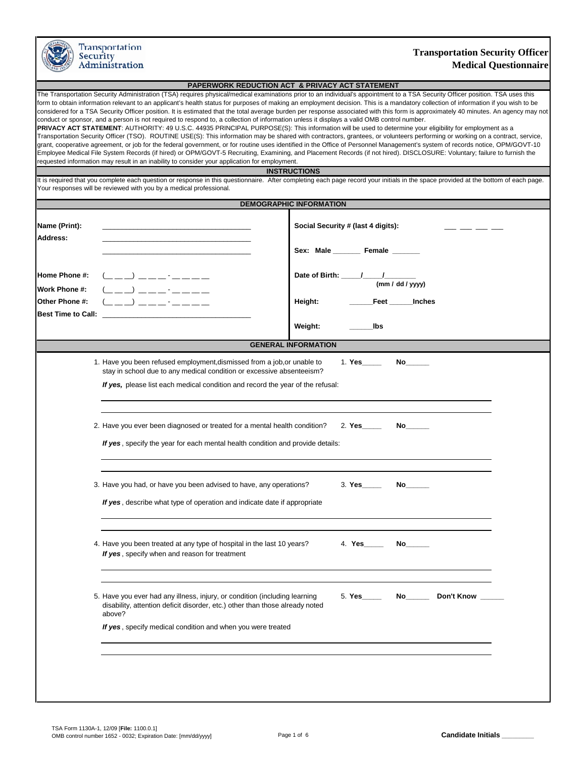| Security                                    | Transportation<br>Administration                                                                                                                                                                                                                                                  | <b>Transportation Security Officer</b><br><b>Medical Questionnaire</b>                                                                                                                                                                                                                                                                                                                                                                                                                                                                                                                                                                                                                                                                                                                                                                                                                                                                                                                                                                                                                                                                                                                                                                                                                      |
|---------------------------------------------|-----------------------------------------------------------------------------------------------------------------------------------------------------------------------------------------------------------------------------------------------------------------------------------|---------------------------------------------------------------------------------------------------------------------------------------------------------------------------------------------------------------------------------------------------------------------------------------------------------------------------------------------------------------------------------------------------------------------------------------------------------------------------------------------------------------------------------------------------------------------------------------------------------------------------------------------------------------------------------------------------------------------------------------------------------------------------------------------------------------------------------------------------------------------------------------------------------------------------------------------------------------------------------------------------------------------------------------------------------------------------------------------------------------------------------------------------------------------------------------------------------------------------------------------------------------------------------------------|
|                                             |                                                                                                                                                                                                                                                                                   | PAPERWORK REDUCTION ACT & PRIVACY ACT STATEMENT                                                                                                                                                                                                                                                                                                                                                                                                                                                                                                                                                                                                                                                                                                                                                                                                                                                                                                                                                                                                                                                                                                                                                                                                                                             |
|                                             | conduct or sponsor, and a person is not required to respond to, a collection of information unless it displays a valid OMB control number.<br>requested information may result in an inability to consider your application for employment.                                       | The Transportation Security Administration (TSA) requires physical/medical examinations prior to an individual's appointment to a TSA Security Officer position. TSA uses this<br>form to obtain information relevant to an applicant's health status for purposes of making an employment decision. This is a mandatory collection of information if you wish to be<br>considered for a TSA Security Officer position. It is estimated that the total average burden per response associated with this form is approximately 40 minutes. An agency may not<br>PRIVACY ACT STATEMENT: AUTHORITY: 49 U.S.C. 44935 PRINCIPAL PURPOSE(S): This information will be used to determine your eligibility for employment as a<br>Transportation Security Officer (TSO). ROUTINE USE(S): This information may be shared with contractors, grantees, or volunteers performing or working on a contract, service,<br>grant, cooperative agreement, or job for the federal government, or for routine uses identified in the Office of Personnel Management's system of records notice, OPM/GOVT-10<br>Employee Medical File System Records (if hired) or OPM/GOVT-5 Recruiting, Examining, and Placement Records (if not hired). DISCLOSURE: Voluntary; failure to furnish the<br><b>INSTRUCTIONS</b> |
|                                             | Your responses will be reviewed with you by a medical professional.                                                                                                                                                                                                               | It is required that you complete each question or response in this questionnaire. After completing each page record your initials in the space provided at the bottom of each page.                                                                                                                                                                                                                                                                                                                                                                                                                                                                                                                                                                                                                                                                                                                                                                                                                                                                                                                                                                                                                                                                                                         |
|                                             |                                                                                                                                                                                                                                                                                   | <b>DEMOGRAPHIC INFORMATION</b>                                                                                                                                                                                                                                                                                                                                                                                                                                                                                                                                                                                                                                                                                                                                                                                                                                                                                                                                                                                                                                                                                                                                                                                                                                                              |
|                                             |                                                                                                                                                                                                                                                                                   |                                                                                                                                                                                                                                                                                                                                                                                                                                                                                                                                                                                                                                                                                                                                                                                                                                                                                                                                                                                                                                                                                                                                                                                                                                                                                             |
| Name (Print):<br>Address:                   |                                                                                                                                                                                                                                                                                   | Social Security # (last 4 digits):                                                                                                                                                                                                                                                                                                                                                                                                                                                                                                                                                                                                                                                                                                                                                                                                                                                                                                                                                                                                                                                                                                                                                                                                                                                          |
|                                             |                                                                                                                                                                                                                                                                                   | Sex: Male Female                                                                                                                                                                                                                                                                                                                                                                                                                                                                                                                                                                                                                                                                                                                                                                                                                                                                                                                                                                                                                                                                                                                                                                                                                                                                            |
| Home Phone #:<br>Work Phone #:              | $($ $\_\_$ $\_\_$ $\_\_$ $\_\_$ $\_\_$ $\_\_$ $\_\_$ $\_\_$ $\_\_$ $\_\_$ $\_\_$ $\_\_$ $\_\_$ $\_\_$ $\_\_$ $\_\_$ $\_\_$ $\_\_$ $\_\_$ $\_\_$ $\_\_$ $\_\_$ $\_\_$ $\_\_$ $\_\_$ $\_\_$ $\_\_$ $\_\_$ $\_\_$ $\_\_$ $\_\_$ $\_\_$ $\_\_$ $\_\_$ $\_\_$ $\_\_$<br>——) ———- -———— | Date of Birth: / /<br>(mm / dd / vvv)                                                                                                                                                                                                                                                                                                                                                                                                                                                                                                                                                                                                                                                                                                                                                                                                                                                                                                                                                                                                                                                                                                                                                                                                                                                       |
| Other Phone #:<br><b>Best Time to Call:</b> |                                                                                                                                                                                                                                                                                   | Height:<br>Feet<br><b>Inches</b>                                                                                                                                                                                                                                                                                                                                                                                                                                                                                                                                                                                                                                                                                                                                                                                                                                                                                                                                                                                                                                                                                                                                                                                                                                                            |
|                                             |                                                                                                                                                                                                                                                                                   | Weight:<br>lbs                                                                                                                                                                                                                                                                                                                                                                                                                                                                                                                                                                                                                                                                                                                                                                                                                                                                                                                                                                                                                                                                                                                                                                                                                                                                              |
|                                             |                                                                                                                                                                                                                                                                                   | <b>GENERAL INFORMATION</b>                                                                                                                                                                                                                                                                                                                                                                                                                                                                                                                                                                                                                                                                                                                                                                                                                                                                                                                                                                                                                                                                                                                                                                                                                                                                  |
|                                             | 1. Have you been refused employment, dismissed from a job, or unable to<br>stay in school due to any medical condition or excessive absenteeism?<br>If yes, please list each medical condition and record the year of the refusal:                                                | 1. Yes<br>No                                                                                                                                                                                                                                                                                                                                                                                                                                                                                                                                                                                                                                                                                                                                                                                                                                                                                                                                                                                                                                                                                                                                                                                                                                                                                |
|                                             | 2. Have you ever been diagnosed or treated for a mental health condition?                                                                                                                                                                                                         | 2. Yes <b>Show Street Street</b>                                                                                                                                                                                                                                                                                                                                                                                                                                                                                                                                                                                                                                                                                                                                                                                                                                                                                                                                                                                                                                                                                                                                                                                                                                                            |
|                                             | If yes, specify the year for each mental health condition and provide details:                                                                                                                                                                                                    |                                                                                                                                                                                                                                                                                                                                                                                                                                                                                                                                                                                                                                                                                                                                                                                                                                                                                                                                                                                                                                                                                                                                                                                                                                                                                             |
|                                             | 3. Have you had, or have you been advised to have, any operations?                                                                                                                                                                                                                |                                                                                                                                                                                                                                                                                                                                                                                                                                                                                                                                                                                                                                                                                                                                                                                                                                                                                                                                                                                                                                                                                                                                                                                                                                                                                             |
|                                             | If yes, describe what type of operation and indicate date if appropriate                                                                                                                                                                                                          |                                                                                                                                                                                                                                                                                                                                                                                                                                                                                                                                                                                                                                                                                                                                                                                                                                                                                                                                                                                                                                                                                                                                                                                                                                                                                             |
|                                             | 4. Have you been treated at any type of hospital in the last 10 years?<br>If yes, specify when and reason for treatment                                                                                                                                                           |                                                                                                                                                                                                                                                                                                                                                                                                                                                                                                                                                                                                                                                                                                                                                                                                                                                                                                                                                                                                                                                                                                                                                                                                                                                                                             |
|                                             | 5. Have you ever had any illness, injury, or condition (including learning<br>disability, attention deficit disorder, etc.) other than those already noted<br>above?                                                                                                              | 5. Yes Mo Don't Know                                                                                                                                                                                                                                                                                                                                                                                                                                                                                                                                                                                                                                                                                                                                                                                                                                                                                                                                                                                                                                                                                                                                                                                                                                                                        |
|                                             | If yes, specify medical condition and when you were treated                                                                                                                                                                                                                       |                                                                                                                                                                                                                                                                                                                                                                                                                                                                                                                                                                                                                                                                                                                                                                                                                                                                                                                                                                                                                                                                                                                                                                                                                                                                                             |
|                                             |                                                                                                                                                                                                                                                                                   |                                                                                                                                                                                                                                                                                                                                                                                                                                                                                                                                                                                                                                                                                                                                                                                                                                                                                                                                                                                                                                                                                                                                                                                                                                                                                             |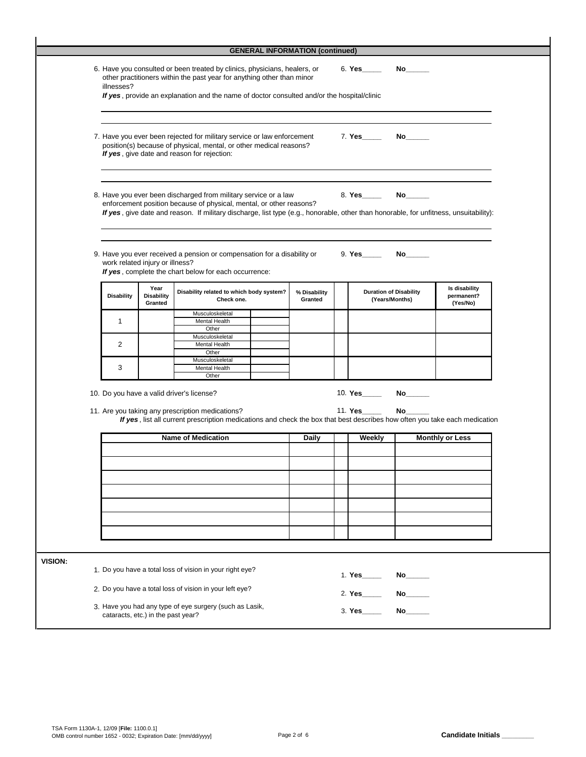|                | <b>GENERAL INFORMATION (continued)</b> |                                                                                                                                                                                                                                                                                                                          |                                      |                                                                                                                                                                                                                                                                                 |  |                         |  |                                                 |                                                                                                                 |                                         |
|----------------|----------------------------------------|--------------------------------------------------------------------------------------------------------------------------------------------------------------------------------------------------------------------------------------------------------------------------------------------------------------------------|--------------------------------------|---------------------------------------------------------------------------------------------------------------------------------------------------------------------------------------------------------------------------------------------------------------------------------|--|-------------------------|--|-------------------------------------------------|-----------------------------------------------------------------------------------------------------------------|-----------------------------------------|
|                |                                        | 6. Have you consulted or been treated by clinics, physicians, healers, or<br>other practitioners within the past year for anything other than minor<br>illnesses?<br>If yes, provide an explanation and the name of doctor consulted and/or the hospital/clinic                                                          |                                      |                                                                                                                                                                                                                                                                                 |  |                         |  | 6. Yes                                          |                                                                                                                 |                                         |
|                |                                        |                                                                                                                                                                                                                                                                                                                          |                                      |                                                                                                                                                                                                                                                                                 |  |                         |  |                                                 |                                                                                                                 |                                         |
|                |                                        | 7. Have you ever been rejected for military service or law enforcement<br>7. Yes<br>No literature and the set of the set of the set of the set of the set of the set of the set of the set of the s<br>position(s) because of physical, mental, or other medical reasons?<br>If yes, give date and reason for rejection: |                                      |                                                                                                                                                                                                                                                                                 |  |                         |  |                                                 |                                                                                                                 |                                         |
|                |                                        |                                                                                                                                                                                                                                                                                                                          |                                      | 8. Have you ever been discharged from military service or a law<br>enforcement position because of physical, mental, or other reasons?<br>If yes, give date and reason. If military discharge, list type (e.g., honorable, other than honorable, for unfitness, unsuitability): |  |                         |  | 8. Yes_____                                     | No                                                                                                              |                                         |
|                |                                        | work related injury or illness?                                                                                                                                                                                                                                                                                          |                                      | 9. Have you ever received a pension or compensation for a disability or<br>If yes, complete the chart below for each occurrence:                                                                                                                                                |  |                         |  | 9. Yes                                          | No the set of the set of the set of the set of the set of the set of the set of the set of the set of the set o |                                         |
|                |                                        | <b>Disability</b>                                                                                                                                                                                                                                                                                                        | Year<br><b>Disability</b><br>Granted | Disability related to which body system?<br>Check one.                                                                                                                                                                                                                          |  | % Disability<br>Granted |  | <b>Duration of Disability</b><br>(Years/Months) |                                                                                                                 | Is disability<br>permanent?<br>(Yes/No) |
|                |                                        | $\mathbf{1}$                                                                                                                                                                                                                                                                                                             |                                      | Musculoskeletal<br>Mental Health<br>Other                                                                                                                                                                                                                                       |  |                         |  |                                                 |                                                                                                                 |                                         |
|                |                                        | 2                                                                                                                                                                                                                                                                                                                        |                                      | Musculoskeletal<br>Mental Health<br>Other                                                                                                                                                                                                                                       |  |                         |  |                                                 |                                                                                                                 |                                         |
|                |                                        | 3                                                                                                                                                                                                                                                                                                                        |                                      | Musculoskeletal<br>Mental Health<br>Other                                                                                                                                                                                                                                       |  |                         |  |                                                 |                                                                                                                 |                                         |
|                |                                        |                                                                                                                                                                                                                                                                                                                          |                                      |                                                                                                                                                                                                                                                                                 |  |                         |  | 10. Yes                                         | No the set of the set of the set of the set of the set of the set of the set of the set of the set of the set o |                                         |
|                |                                        | 10. Do you have a valid driver's license?<br>11. Are you taking any prescription medications?<br>11. Yes<br>No_<br>If yes, list all current prescription medications and check the box that best describes how often you take each medication                                                                            |                                      |                                                                                                                                                                                                                                                                                 |  |                         |  |                                                 |                                                                                                                 |                                         |
|                |                                        |                                                                                                                                                                                                                                                                                                                          |                                      | <b>Name of Medication</b>                                                                                                                                                                                                                                                       |  | <b>Daily</b>            |  | Weekly                                          |                                                                                                                 | <b>Monthly or Less</b>                  |
|                |                                        |                                                                                                                                                                                                                                                                                                                          |                                      |                                                                                                                                                                                                                                                                                 |  |                         |  |                                                 |                                                                                                                 |                                         |
|                |                                        |                                                                                                                                                                                                                                                                                                                          |                                      |                                                                                                                                                                                                                                                                                 |  |                         |  |                                                 |                                                                                                                 |                                         |
|                |                                        |                                                                                                                                                                                                                                                                                                                          |                                      |                                                                                                                                                                                                                                                                                 |  |                         |  |                                                 |                                                                                                                 |                                         |
|                |                                        |                                                                                                                                                                                                                                                                                                                          |                                      |                                                                                                                                                                                                                                                                                 |  |                         |  |                                                 |                                                                                                                 |                                         |
|                |                                        |                                                                                                                                                                                                                                                                                                                          |                                      |                                                                                                                                                                                                                                                                                 |  |                         |  |                                                 |                                                                                                                 |                                         |
|                |                                        |                                                                                                                                                                                                                                                                                                                          |                                      |                                                                                                                                                                                                                                                                                 |  |                         |  |                                                 |                                                                                                                 |                                         |
| <b>VISION:</b> |                                        |                                                                                                                                                                                                                                                                                                                          |                                      |                                                                                                                                                                                                                                                                                 |  |                         |  |                                                 |                                                                                                                 |                                         |
|                |                                        |                                                                                                                                                                                                                                                                                                                          |                                      | 1. Do you have a total loss of vision in your right eye?                                                                                                                                                                                                                        |  |                         |  | 1. Yes                                          | No l                                                                                                            |                                         |
|                |                                        |                                                                                                                                                                                                                                                                                                                          |                                      | 2. Do you have a total loss of vision in your left eye?                                                                                                                                                                                                                         |  |                         |  | 2. Yes                                          | No                                                                                                              |                                         |
|                |                                        | 3. Have you had any type of eye surgery (such as Lasik,<br>cataracts, etc.) in the past year?                                                                                                                                                                                                                            |                                      |                                                                                                                                                                                                                                                                                 |  |                         |  | 3. Yes                                          | No l                                                                                                            |                                         |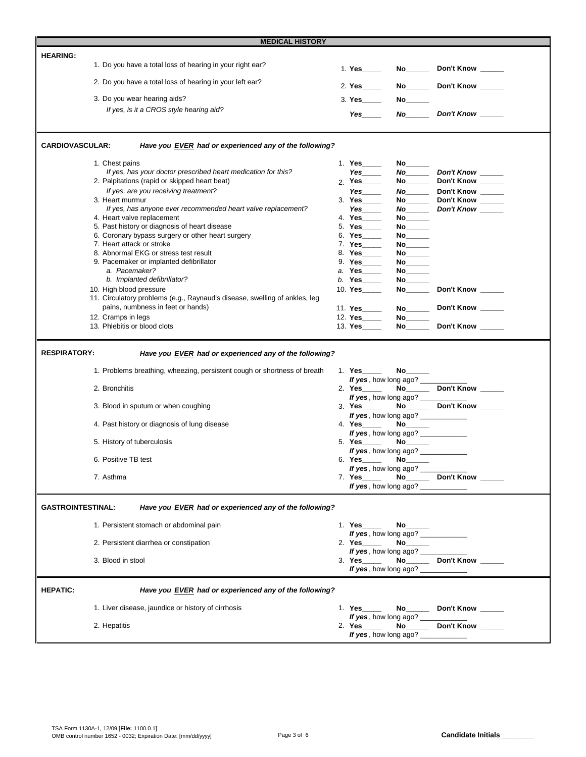|                          | <b>MEDICAL HISTORY</b>                                                                     |                                                                                                                 |                                    |                                        |
|--------------------------|--------------------------------------------------------------------------------------------|-----------------------------------------------------------------------------------------------------------------|------------------------------------|----------------------------------------|
| <b>HEARING:</b>          |                                                                                            |                                                                                                                 |                                    |                                        |
|                          | 1. Do you have a total loss of hearing in your right ear?                                  | 1. Yes_____                                                                                                     |                                    | Don't Know ______                      |
|                          | 2. Do you have a total loss of hearing in your left ear?                                   | 2. Yes_____                                                                                                     |                                    | No___________ Don't Know _______       |
|                          | 3. Do you wear hearing aids?                                                               | 3. Yes                                                                                                          |                                    |                                        |
|                          | If yes, is it a CROS style hearing aid?                                                    | Yes                                                                                                             |                                    |                                        |
|                          |                                                                                            |                                                                                                                 |                                    |                                        |
| <b>CARDIOVASCULAR:</b>   | Have you EVER had or experienced any of the following?                                     |                                                                                                                 |                                    |                                        |
|                          | 1. Chest pains                                                                             |                                                                                                                 |                                    |                                        |
|                          | If yes, has your doctor prescribed heart medication for this?                              | 1. Yes_____<br>Yes $\_\_$                                                                                       | No                                 |                                        |
|                          | 2. Palpitations (rapid or skipped heart beat)                                              |                                                                                                                 |                                    | No__________Don't Know _______         |
|                          |                                                                                            | $2.$ Yes_____                                                                                                   |                                    | No____________ Don't Know ________     |
|                          | If yes, are you receiving treatment?                                                       | Yes                                                                                                             |                                    | Don't Know _____                       |
|                          | 3. Heart murmur                                                                            |                                                                                                                 |                                    | No____________ Don't Know ________     |
|                          | If yes, has anyone ever recommended heart valve replacement?<br>4. Heart valve replacement | Yes $\qquad$                                                                                                    |                                    | No <sub>______</sub> Don't Know _____  |
|                          |                                                                                            | 4. Yes ____<br>5. Yes_____                                                                                      | $\mathsf{No}$                      |                                        |
|                          | 5. Past history or diagnosis of heart disease                                              |                                                                                                                 | $\mathsf{No}$                      |                                        |
|                          | 6. Coronary bypass surgery or other heart surgery                                          | 6. Yes ______                                                                                                   |                                    |                                        |
|                          | 7. Heart attack or stroke                                                                  | 7. Yes_____                                                                                                     |                                    |                                        |
|                          | 8. Abnormal EKG or stress test result                                                      | 8. Yes______                                                                                                    |                                    |                                        |
|                          | 9. Pacemaker or implanted defibrillator                                                    | 9. Yes_____                                                                                                     |                                    |                                        |
|                          | a. Pacemaker?                                                                              | a. Yes_____                                                                                                     |                                    |                                        |
|                          | b. Implanted defibrillator?                                                                | b. Yes _______                                                                                                  |                                    |                                        |
|                          | 10. High blood pressure                                                                    | 10. Yes                                                                                                         |                                    | Don't Know ______                      |
|                          | 11. Circulatory problems (e.g., Raynaud's disease, swelling of ankles, leg                 |                                                                                                                 |                                    |                                        |
|                          | pains, numbness in feet or hands)                                                          | 11. Yes_____                                                                                                    |                                    | Don't Know _____                       |
|                          | 12. Cramps in legs                                                                         | 12. Yes_____                                                                                                    |                                    |                                        |
|                          | 13. Phlebitis or blood clots                                                               | 13. Yes                                                                                                         |                                    | No Don't Know                          |
|                          | 1. Problems breathing, wheezing, persistent cough or shortness of breath                   | 1. Yes                                                                                                          | If yes, how long ago? ____         |                                        |
|                          | 2. Bronchitis                                                                              | 2. Yes_____                                                                                                     |                                    | No <sub>_____</sub> Don't Know _____   |
|                          |                                                                                            |                                                                                                                 | If yes, how long ago?              |                                        |
|                          | 3. Blood in sputum or when coughing                                                        | 3. Yes                                                                                                          |                                    | No Don't Know                          |
|                          |                                                                                            |                                                                                                                 | If yes, how long ago? ___________  |                                        |
|                          | 4. Past history or diagnosis of lung disease                                               | 4. Yes_____                                                                                                     | <b>No______</b>                    |                                        |
|                          |                                                                                            |                                                                                                                 | If yes, how long ago?              |                                        |
|                          | 5. History of tuberculosis                                                                 | 5. Yes the set of the set of the set of the set of the set of the set of the set of the set of the set of the s |                                    |                                        |
|                          |                                                                                            |                                                                                                                 | If yes, how long ago? ____________ |                                        |
|                          | 6. Positive TB test                                                                        |                                                                                                                 |                                    |                                        |
|                          |                                                                                            |                                                                                                                 | If yes, how long ago?              |                                        |
|                          | 7. Asthma                                                                                  |                                                                                                                 |                                    |                                        |
|                          |                                                                                            |                                                                                                                 | If yes, how long ago?              |                                        |
| <b>GASTROINTESTINAL:</b> | Have you EVER had or experienced any of the following?                                     |                                                                                                                 |                                    |                                        |
|                          |                                                                                            |                                                                                                                 |                                    |                                        |
|                          | 1. Persistent stomach or abdominal pain                                                    |                                                                                                                 |                                    |                                        |
|                          |                                                                                            |                                                                                                                 | If yes, how long ago?              |                                        |
|                          | 2. Persistent diarrhea or constipation                                                     |                                                                                                                 |                                    |                                        |
|                          | 3. Blood in stool                                                                          |                                                                                                                 | If yes, how long ago?              |                                        |
|                          |                                                                                            |                                                                                                                 | If yes, how long ago?              |                                        |
| <b>HEPATIC:</b>          | Have you EVER had or experienced any of the following?                                     |                                                                                                                 |                                    |                                        |
|                          | 1. Liver disease, jaundice or history of cirrhosis                                         |                                                                                                                 |                                    | 1. Yes _____ No______ Don't Know _____ |
|                          |                                                                                            |                                                                                                                 | If yes, how long ago?              |                                        |
|                          | 2. Hepatitis                                                                               |                                                                                                                 |                                    |                                        |
|                          |                                                                                            |                                                                                                                 | If yes, how long ago?              |                                        |
|                          |                                                                                            |                                                                                                                 |                                    |                                        |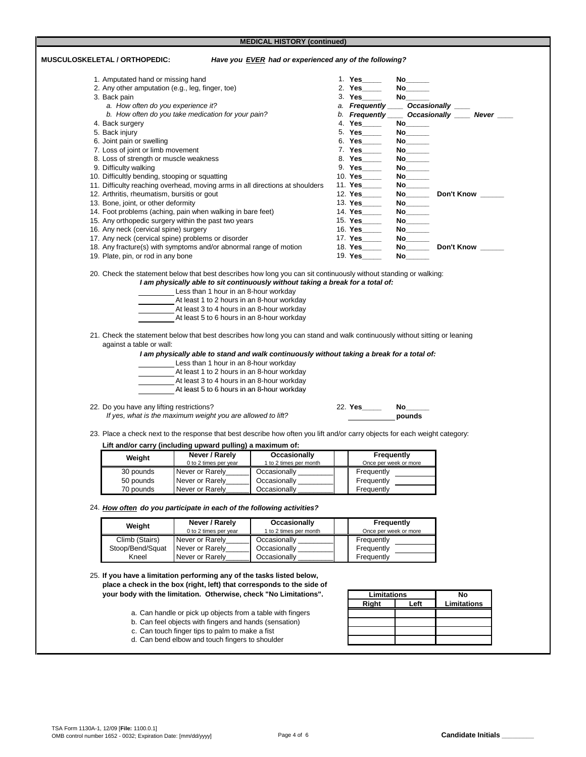**MEDICAL HISTORY (continued)**

| <b>MUSCULOSKELETAL / ORTHOPEDIC:</b> |                                                  |                                                                                                                                        | Have you EVER had or experienced any of the following?                                                                                                                                                                  |                                     |                                                                                                                           |                                                  |
|--------------------------------------|--------------------------------------------------|----------------------------------------------------------------------------------------------------------------------------------------|-------------------------------------------------------------------------------------------------------------------------------------------------------------------------------------------------------------------------|-------------------------------------|---------------------------------------------------------------------------------------------------------------------------|--------------------------------------------------|
|                                      | 1. Amputated hand or missing hand                |                                                                                                                                        |                                                                                                                                                                                                                         | 1. Yes $\qquad$                     | No $\qquad$                                                                                                               |                                                  |
|                                      | 2. Any other amputation (e.g., leg, finger, toe) |                                                                                                                                        |                                                                                                                                                                                                                         | 2. Yes_____                         | No the set of the set of the set of the set of the set of the set of the set of the set of the set of the set o           |                                                  |
|                                      | 3. Back pain                                     |                                                                                                                                        |                                                                                                                                                                                                                         |                                     |                                                                                                                           |                                                  |
|                                      | a. How often do you experience it?               |                                                                                                                                        |                                                                                                                                                                                                                         | a. Frequently _____ Occasionally __ |                                                                                                                           |                                                  |
|                                      |                                                  | b. How often do you take medication for your pain?                                                                                     |                                                                                                                                                                                                                         |                                     |                                                                                                                           | b. Frequently _____ Occasionally _____ Never ___ |
|                                      | 4. Back surgery                                  |                                                                                                                                        |                                                                                                                                                                                                                         | 4. Yes                              | No                                                                                                                        |                                                  |
|                                      | 5. Back injury                                   |                                                                                                                                        |                                                                                                                                                                                                                         | 5. Yes _____                        | No $\qquad$                                                                                                               |                                                  |
|                                      | 6. Joint pain or swelling                        |                                                                                                                                        |                                                                                                                                                                                                                         | 6. Yes _______                      |                                                                                                                           |                                                  |
|                                      | 7. Loss of joint or limb movement                |                                                                                                                                        |                                                                                                                                                                                                                         | 7. Yes_____                         |                                                                                                                           |                                                  |
|                                      | 8. Loss of strength or muscle weakness           |                                                                                                                                        |                                                                                                                                                                                                                         | 8. Yes_____                         |                                                                                                                           |                                                  |
|                                      | 9. Difficulty walking                            |                                                                                                                                        |                                                                                                                                                                                                                         |                                     | No $\qquad$                                                                                                               |                                                  |
|                                      | 10. Difficultly bending, stooping or squatting   |                                                                                                                                        |                                                                                                                                                                                                                         | 10. Yes                             | No                                                                                                                        |                                                  |
|                                      |                                                  |                                                                                                                                        | 11. Difficulty reaching overhead, moving arms in all directions at shoulders                                                                                                                                            | 11. Yes                             | $\mathsf{No}$                                                                                                             |                                                  |
|                                      | 12. Arthritis, rheumatism, bursitis or gout      |                                                                                                                                        |                                                                                                                                                                                                                         | 12. Yes_____                        |                                                                                                                           | Don't Know                                       |
|                                      | 13. Bone, joint, or other deformity              |                                                                                                                                        |                                                                                                                                                                                                                         | 13. Yes                             | No $\_\_$                                                                                                                 |                                                  |
|                                      |                                                  | 14. Foot problems (aching, pain when walking in bare feet)                                                                             |                                                                                                                                                                                                                         | 14. Yes_____                        |                                                                                                                           |                                                  |
|                                      | 16. Any neck (cervical spine) surgery            | 15. Any orthopedic surgery within the past two years                                                                                   |                                                                                                                                                                                                                         | 15. Yes_____<br>16. Yes_____        |                                                                                                                           |                                                  |
|                                      |                                                  | 17. Any neck (cervical spine) problems or disorder                                                                                     |                                                                                                                                                                                                                         | 17. Yes_____                        |                                                                                                                           |                                                  |
|                                      |                                                  | 18. Any fracture(s) with symptoms and/or abnormal range of motion                                                                      |                                                                                                                                                                                                                         | 18. Yes                             |                                                                                                                           | Don't Know                                       |
|                                      | 19. Plate, pin, or rod in any bone               |                                                                                                                                        |                                                                                                                                                                                                                         | 19. Yes                             | No l                                                                                                                      |                                                  |
|                                      |                                                  | At least 1 to 2 hours in an 8-hour workday<br>At least 3 to 4 hours in an 8-hour workday<br>At least 5 to 6 hours in an 8-hour workday | Less than 1 hour in an 8-hour workday                                                                                                                                                                                   |                                     |                                                                                                                           |                                                  |
|                                      | against a table or wall:                         | Less than 1 hour in an 8-hour workday<br>At least 1 to 2 hours in an 8-hour workday                                                    | 21. Check the statement below that best describes how long you can stand and walk continuously without sitting or leaning<br>I am physically able to stand and walk continuously without taking a break for a total of: |                                     |                                                                                                                           |                                                  |
|                                      |                                                  | At least 3 to 4 hours in an 8-hour workday<br>At least 5 to 6 hours in an 8-hour workday                                               |                                                                                                                                                                                                                         |                                     |                                                                                                                           |                                                  |
|                                      | 22. Do you have any lifting restrictions?        | If yes, what is the maximum weight you are allowed to lift?                                                                            |                                                                                                                                                                                                                         | 22. Yes                             | No the set of the set of the set of the set of the set of the set of the set of the set of the set of the set o<br>pounds |                                                  |
|                                      |                                                  | Lift and/or carry (including upward pulling) a maximum of:                                                                             | 23. Place a check next to the response that best describe how often you lift and/or carry objects for each weight category:                                                                                             |                                     |                                                                                                                           |                                                  |
|                                      | Weight                                           | Never / Rarely                                                                                                                         | Occasionally                                                                                                                                                                                                            |                                     | Frequently                                                                                                                |                                                  |
|                                      |                                                  | 0 to 2 times per year                                                                                                                  | 1 to 2 times per month                                                                                                                                                                                                  |                                     | Once per week or more                                                                                                     |                                                  |
|                                      | 30 pounds                                        | Never or Rarely                                                                                                                        | Occasionally                                                                                                                                                                                                            | Frequently                          |                                                                                                                           |                                                  |
|                                      | 50 pounds                                        | Never or Rarely                                                                                                                        | Occasionally_                                                                                                                                                                                                           | Frequently                          |                                                                                                                           |                                                  |
|                                      | 70 pounds                                        | Never or Rarely<br>24. How often do you participate in each of the following activities?                                               | Occasionally                                                                                                                                                                                                            | Frequently                          |                                                                                                                           |                                                  |
|                                      |                                                  | Never / Rarely                                                                                                                         |                                                                                                                                                                                                                         |                                     |                                                                                                                           |                                                  |
|                                      | Weight                                           | 0 to 2 times per year                                                                                                                  | Occasionally<br>1 to 2 times per month                                                                                                                                                                                  |                                     | <b>Frequently</b><br>Once per week or more                                                                                |                                                  |
|                                      | Climb (Stairs)                                   | Never or Rarely                                                                                                                        | Occasionally _                                                                                                                                                                                                          | Frequently                          |                                                                                                                           |                                                  |
|                                      | Stoop/Bend/Squat                                 | Never or Rarely                                                                                                                        | Occasionally_                                                                                                                                                                                                           | Frequently                          |                                                                                                                           |                                                  |

25. **If you have a limitation performing any of the tasks listed below, place a check in the box (right, left) that corresponds to the side of your body with the limitation. Otherwise, check "No Limitations".**

- a. Can handle or pick up objects from a table with fingers
- b. Can feel objects with fingers and hands (sensation)
- c. Can touch finger tips to palm to make a fist
- d. Can bend elbow and touch fingers to shoulder

| Limitations | No   |             |
|-------------|------|-------------|
| Right       | Left | Limitations |
|             |      |             |
|             |      |             |
|             |      |             |
|             |      |             |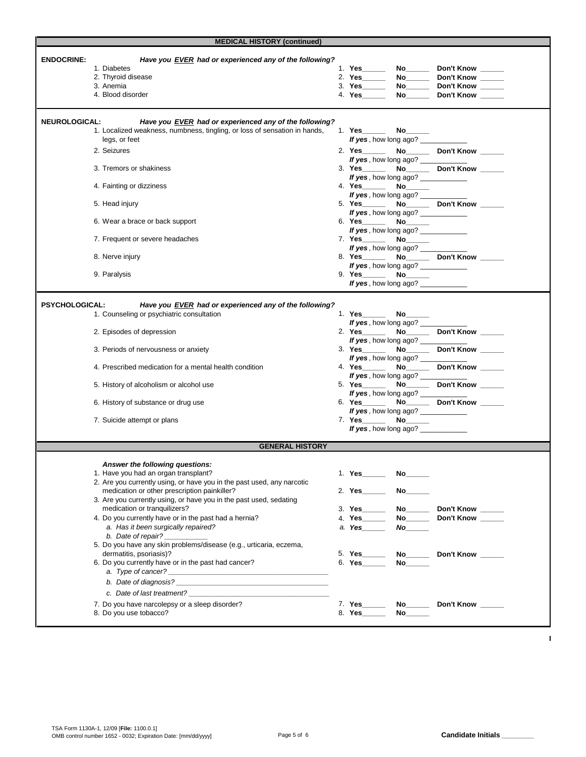| <b>MEDICAL HISTORY (continued)</b>                                                                                           |                                                                      |  |  |  |  |  |  |
|------------------------------------------------------------------------------------------------------------------------------|----------------------------------------------------------------------|--|--|--|--|--|--|
| <b>ENDOCRINE:</b><br>Have you EVER had or experienced any of the following?                                                  |                                                                      |  |  |  |  |  |  |
| 1. Diabetes                                                                                                                  | 1. Yes______<br>No____________ Don't Know ________                   |  |  |  |  |  |  |
| 2. Thyroid disease                                                                                                           | 2. Yes ________ No _______ Don't Know ______                         |  |  |  |  |  |  |
| 3. Anemia                                                                                                                    | 3. Yes_________ No________ Don't Know ______                         |  |  |  |  |  |  |
| 4. Blood disorder                                                                                                            | 4. Yes No Don't Know                                                 |  |  |  |  |  |  |
| Have you EVER had or experienced any of the following?<br><b>NEUROLOGICAL:</b>                                               |                                                                      |  |  |  |  |  |  |
| 1. Localized weakness, numbness, tingling, or loss of sensation in hands,                                                    |                                                                      |  |  |  |  |  |  |
| legs, or feet                                                                                                                | If yes, how long ago?                                                |  |  |  |  |  |  |
| 2. Seizures                                                                                                                  | 2. Yes_________ No_________ Don't Know _______                       |  |  |  |  |  |  |
|                                                                                                                              | If yes, how long ago? ____________                                   |  |  |  |  |  |  |
| 3. Tremors or shakiness                                                                                                      | 3. Yes No Don't Know                                                 |  |  |  |  |  |  |
|                                                                                                                              | If yes, how long ago? ___________                                    |  |  |  |  |  |  |
| 4. Fainting or dizziness                                                                                                     | If yes, how long ago?                                                |  |  |  |  |  |  |
| 5. Head injury                                                                                                               | 5. Yes ________ No _______ Don't Know ______                         |  |  |  |  |  |  |
|                                                                                                                              | If yes, how long ago?                                                |  |  |  |  |  |  |
| 6. Wear a brace or back support                                                                                              |                                                                      |  |  |  |  |  |  |
|                                                                                                                              | If yes, how long ago?                                                |  |  |  |  |  |  |
| 7. Frequent or severe headaches                                                                                              |                                                                      |  |  |  |  |  |  |
|                                                                                                                              | If yes, how long ago? ____________                                   |  |  |  |  |  |  |
| 8. Nerve injury                                                                                                              | 8. Yes__________ No__________ Don't Know _______                     |  |  |  |  |  |  |
|                                                                                                                              | If yes, how long ago?                                                |  |  |  |  |  |  |
| 9. Paralysis                                                                                                                 | If yes, how long ago?                                                |  |  |  |  |  |  |
|                                                                                                                              |                                                                      |  |  |  |  |  |  |
|                                                                                                                              |                                                                      |  |  |  |  |  |  |
| <b>PSYCHOLOGICAL:</b><br>Have you EVER had or experienced any of the following?<br>1. Counseling or psychiatric consultation |                                                                      |  |  |  |  |  |  |
|                                                                                                                              | If yes, how long ago?                                                |  |  |  |  |  |  |
| 2. Episodes of depression                                                                                                    | 2. Yes_________ No________ Don't Know ______                         |  |  |  |  |  |  |
|                                                                                                                              | If yes, how long ago? ____________                                   |  |  |  |  |  |  |
| 3. Periods of nervousness or anxiety                                                                                         | 3. Yes_________ No_________ Don't Know _______                       |  |  |  |  |  |  |
|                                                                                                                              | If yes, how long ago? ____________                                   |  |  |  |  |  |  |
| 4. Prescribed medication for a mental health condition                                                                       | 4. Yes_________ No_________ Don't Know _______                       |  |  |  |  |  |  |
|                                                                                                                              | If yes, how long ago?                                                |  |  |  |  |  |  |
| 5. History of alcoholism or alcohol use                                                                                      | 5. Yes_________ No_________ Don't Know _______                       |  |  |  |  |  |  |
|                                                                                                                              | If yes, how long ago?                                                |  |  |  |  |  |  |
| 6. History of substance or drug use                                                                                          | 6. Yes________ No________ Don't Know ______<br>If yes, how long ago? |  |  |  |  |  |  |
| 7. Suicide attempt or plans                                                                                                  | 7. Yes No. 10                                                        |  |  |  |  |  |  |
|                                                                                                                              | If yes, how long ago? ____________                                   |  |  |  |  |  |  |
|                                                                                                                              |                                                                      |  |  |  |  |  |  |
| <b>GENERAL HISTORY</b>                                                                                                       |                                                                      |  |  |  |  |  |  |
| Answer the following questions:                                                                                              |                                                                      |  |  |  |  |  |  |
| 1. Have you had an organ transplant?                                                                                         |                                                                      |  |  |  |  |  |  |
| 2. Are you currently using, or have you in the past used, any narcotic                                                       |                                                                      |  |  |  |  |  |  |
| medication or other prescription painkiller?                                                                                 | 2. Yes<br>No l                                                       |  |  |  |  |  |  |
| 3. Are you currently using, or have you in the past used, sedating                                                           |                                                                      |  |  |  |  |  |  |
| medication or tranquilizers?                                                                                                 | 3. Yes______<br>Don't Know                                           |  |  |  |  |  |  |
| 4. Do you currently have or in the past had a hernia?                                                                        | 4. Yes<br>No Don't Know                                              |  |  |  |  |  |  |
| a. Has it been surgically repaired?                                                                                          | a. Yes______<br>No                                                   |  |  |  |  |  |  |
| b. Date of repair?<br>5. Do you have any skin problems/disease (e.g., urticaria, eczema,                                     |                                                                      |  |  |  |  |  |  |
| dermatitis, psoriasis)?                                                                                                      | 5. Yes__________ No________ Don't Know ______                        |  |  |  |  |  |  |
| 6. Do you currently have or in the past had cancer?                                                                          |                                                                      |  |  |  |  |  |  |
|                                                                                                                              |                                                                      |  |  |  |  |  |  |
|                                                                                                                              |                                                                      |  |  |  |  |  |  |
| c. Date of last treatment?                                                                                                   |                                                                      |  |  |  |  |  |  |
|                                                                                                                              |                                                                      |  |  |  |  |  |  |
| 7. Do you have narcolepsy or a sleep disorder?                                                                               | 7. Yes___________ No__________ Don't Know _______                    |  |  |  |  |  |  |
| 8. Do you use tobacco?                                                                                                       | 8. Yes______                                                         |  |  |  |  |  |  |

 $\mathbf I$